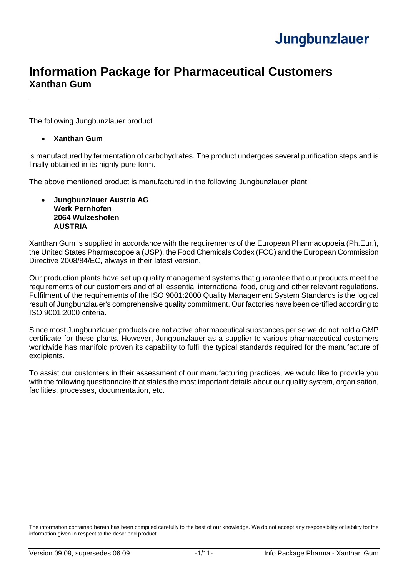### **Information Package for Pharmaceutical Customers Xanthan Gum**

The following Jungbunzlauer product

#### • **Xanthan Gum**

is manufactured by fermentation of carbohydrates. The product undergoes several purification steps and is finally obtained in its highly pure form.

The above mentioned product is manufactured in the following Jungbunzlauer plant:

#### • **Jungbunzlauer Austria AG Werk Pernhofen 2064 Wulzeshofen AUSTRIA**

Xanthan Gum is supplied in accordance with the requirements of the European Pharmacopoeia (Ph.Eur.), the United States Pharmacopoeia (USP), the Food Chemicals Codex (FCC) and the European Commission Directive 2008/84/EC, always in their latest version.

Our production plants have set up quality management systems that guarantee that our products meet the requirements of our customers and of all essential international food, drug and other relevant regulations. Fulfilment of the requirements of the ISO 9001:2000 Quality Management System Standards is the logical result of Jungbunzlauer's comprehensive quality commitment. Our factories have been certified according to ISO 9001:2000 criteria.

Since most Jungbunzlauer products are not active pharmaceutical substances per se we do not hold a GMP certificate for these plants. However, Jungbunzlauer as a supplier to various pharmaceutical customers worldwide has manifold proven its capability to fulfil the typical standards required for the manufacture of excipients.

To assist our customers in their assessment of our manufacturing practices, we would like to provide you with the following questionnaire that states the most important details about our quality system, organisation, facilities, processes, documentation, etc.

The information contained herein has been compiled carefully to the best of our knowledge. We do not accept any responsibility or liability for the information given in respect to the described product.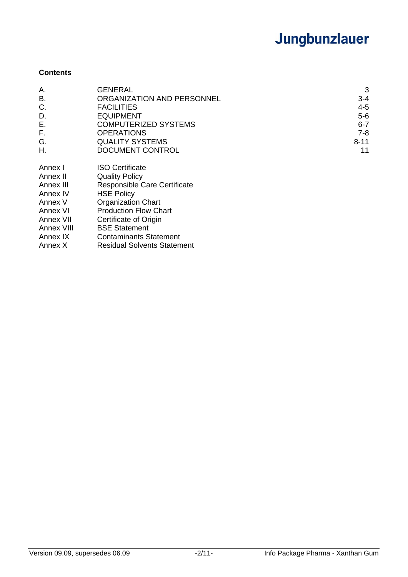### **Contents**

| Α.                                                                                                         | <b>GENERAL</b>                                                                                                                                                                                                                                      | 3        |
|------------------------------------------------------------------------------------------------------------|-----------------------------------------------------------------------------------------------------------------------------------------------------------------------------------------------------------------------------------------------------|----------|
| В.                                                                                                         | ORGANIZATION AND PERSONNEL                                                                                                                                                                                                                          | $3 - 4$  |
| C.                                                                                                         | <b>FACILITIES</b>                                                                                                                                                                                                                                   | $4 - 5$  |
| D.                                                                                                         | <b>EQUIPMENT</b>                                                                                                                                                                                                                                    | $5-6$    |
| Ε.                                                                                                         | <b>COMPUTERIZED SYSTEMS</b>                                                                                                                                                                                                                         | $6 - 7$  |
| F.                                                                                                         | <b>OPERATIONS</b>                                                                                                                                                                                                                                   | 7-8      |
| G.                                                                                                         | <b>QUALITY SYSTEMS</b>                                                                                                                                                                                                                              | $8 - 11$ |
| Η.                                                                                                         | DOCUMENT CONTROL                                                                                                                                                                                                                                    | 11       |
| Annex I<br>Annex II<br>Annex III<br>Annex IV<br>Annex V<br>Annex VI<br>Annex VII<br>Annex VIII<br>Annex IX | <b>ISO Certificate</b><br><b>Quality Policy</b><br>Responsible Care Certificate<br><b>HSE Policy</b><br><b>Organization Chart</b><br><b>Production Flow Chart</b><br>Certificate of Origin<br><b>BSE Statement</b><br><b>Contaminants Statement</b> |          |

Annex X Residual Solvents Statement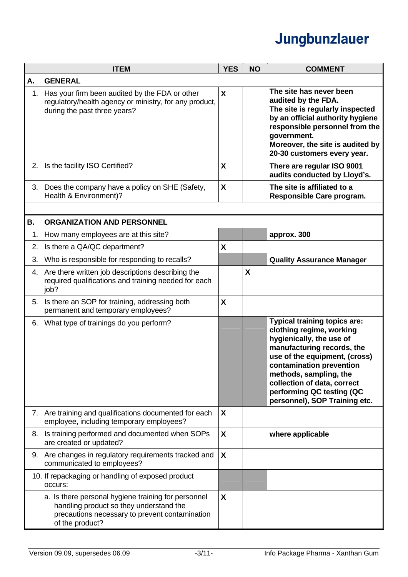|           | <b>ITEM</b>                                                                                                                                                         | <b>YES</b> | <b>NO</b>        | <b>COMMENT</b>                                                                                                                                                                                                                                                                                                |
|-----------|---------------------------------------------------------------------------------------------------------------------------------------------------------------------|------------|------------------|---------------------------------------------------------------------------------------------------------------------------------------------------------------------------------------------------------------------------------------------------------------------------------------------------------------|
| Α.        | <b>GENERAL</b>                                                                                                                                                      |            |                  |                                                                                                                                                                                                                                                                                                               |
| 1.        | Has your firm been audited by the FDA or other<br>regulatory/health agency or ministry, for any product,<br>during the past three years?                            | X          |                  | The site has never been<br>audited by the FDA.<br>The site is regularly inspected<br>by an official authority hygiene<br>responsible personnel from the<br>government.<br>Moreover, the site is audited by<br>20-30 customers every year.                                                                     |
|           | 2. Is the facility ISO Certified?                                                                                                                                   | X          |                  | There are regular ISO 9001<br>audits conducted by Lloyd's.                                                                                                                                                                                                                                                    |
| 3.        | Does the company have a policy on SHE (Safety,<br>Health & Environment)?                                                                                            | X          |                  | The site is affiliated to a<br>Responsible Care program.                                                                                                                                                                                                                                                      |
|           |                                                                                                                                                                     |            |                  |                                                                                                                                                                                                                                                                                                               |
| <b>B.</b> | <b>ORGANIZATION AND PERSONNEL</b>                                                                                                                                   |            |                  |                                                                                                                                                                                                                                                                                                               |
| 1.        | How many employees are at this site?                                                                                                                                |            |                  | approx. 300                                                                                                                                                                                                                                                                                                   |
| 2.        | Is there a QA/QC department?                                                                                                                                        | X          |                  |                                                                                                                                                                                                                                                                                                               |
| 3.        | Who is responsible for responding to recalls?                                                                                                                       |            |                  | <b>Quality Assurance Manager</b>                                                                                                                                                                                                                                                                              |
|           | 4. Are there written job descriptions describing the<br>required qualifications and training needed for each<br>job?                                                |            | $\boldsymbol{X}$ |                                                                                                                                                                                                                                                                                                               |
|           | 5. Is there an SOP for training, addressing both<br>permanent and temporary employees?                                                                              | X          |                  |                                                                                                                                                                                                                                                                                                               |
| 6.        | What type of trainings do you perform?                                                                                                                              |            |                  | <b>Typical training topics are:</b><br>clothing regime, working<br>hygienically, the use of<br>manufacturing records, the<br>use of the equipment, (cross)<br>contamination prevention<br>methods, sampling, the<br>collection of data, correct<br>performing QC testing (QC<br>personnel), SOP Training etc. |
|           | 7. Are training and qualifications documented for each<br>employee, including temporary employees?                                                                  | X          |                  |                                                                                                                                                                                                                                                                                                               |
| 8.        | Is training performed and documented when SOPs<br>are created or updated?                                                                                           | X          |                  | where applicable                                                                                                                                                                                                                                                                                              |
|           | 9. Are changes in regulatory requirements tracked and<br>communicated to employees?                                                                                 | X          |                  |                                                                                                                                                                                                                                                                                                               |
|           | 10. If repackaging or handling of exposed product<br>occurs:                                                                                                        |            |                  |                                                                                                                                                                                                                                                                                                               |
|           | a. Is there personal hygiene training for personnel<br>handling product so they understand the<br>precautions necessary to prevent contamination<br>of the product? | X          |                  |                                                                                                                                                                                                                                                                                                               |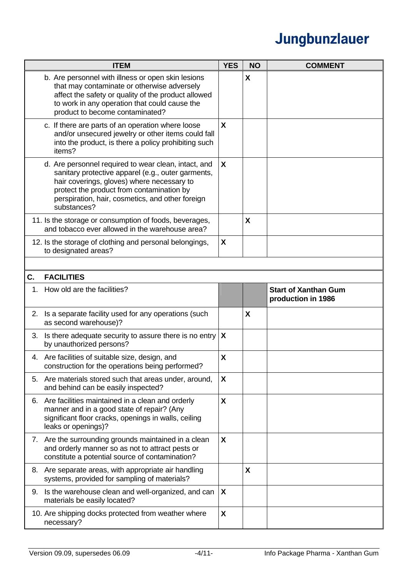|    | <b>ITEM</b>                                                                                                                                                                                                                                                              | <b>YES</b>       | <b>NO</b> | <b>COMMENT</b>                                    |
|----|--------------------------------------------------------------------------------------------------------------------------------------------------------------------------------------------------------------------------------------------------------------------------|------------------|-----------|---------------------------------------------------|
|    | b. Are personnel with illness or open skin lesions<br>that may contaminate or otherwise adversely<br>affect the safety or quality of the product allowed<br>to work in any operation that could cause the<br>product to become contaminated?                             |                  | X         |                                                   |
|    | c. If there are parts of an operation where loose<br>and/or unsecured jewelry or other items could fall<br>into the product, is there a policy prohibiting such<br>items?                                                                                                | X                |           |                                                   |
|    | d. Are personnel required to wear clean, intact, and<br>sanitary protective apparel (e.g., outer garments,<br>hair coverings, gloves) where necessary to<br>protect the product from contamination by<br>perspiration, hair, cosmetics, and other foreign<br>substances? | X                |           |                                                   |
|    | 11. Is the storage or consumption of foods, beverages,<br>and tobacco ever allowed in the warehouse area?                                                                                                                                                                |                  | X         |                                                   |
|    | 12. Is the storage of clothing and personal belongings,<br>to designated areas?                                                                                                                                                                                          | X                |           |                                                   |
|    |                                                                                                                                                                                                                                                                          |                  |           |                                                   |
| C. | <b>FACILITIES</b>                                                                                                                                                                                                                                                        |                  |           |                                                   |
| 1. | How old are the facilities?                                                                                                                                                                                                                                              |                  |           | <b>Start of Xanthan Gum</b><br>production in 1986 |
|    | 2. Is a separate facility used for any operations (such<br>as second warehouse)?                                                                                                                                                                                         |                  | X         |                                                   |
| 3. | Is there adequate security to assure there is no entry<br>by unauthorized persons?                                                                                                                                                                                       | $\boldsymbol{X}$ |           |                                                   |
|    | 4. Are facilities of suitable size, design, and<br>construction for the operations being performed?                                                                                                                                                                      | χ                |           |                                                   |
| 5. | Are materials stored such that areas under, around,<br>and behind can be easily inspected?                                                                                                                                                                               | X                |           |                                                   |
| 6. | Are facilities maintained in a clean and orderly<br>manner and in a good state of repair? (Any<br>significant floor cracks, openings in walls, ceiling<br>leaks or openings)?                                                                                            | X                |           |                                                   |
|    | 7. Are the surrounding grounds maintained in a clean<br>and orderly manner so as not to attract pests or<br>constitute a potential source of contamination?                                                                                                              | X                |           |                                                   |
| 8. | Are separate areas, with appropriate air handling<br>systems, provided for sampling of materials?                                                                                                                                                                        |                  | X         |                                                   |
| 9. | Is the warehouse clean and well-organized, and can<br>materials be easily located?                                                                                                                                                                                       | X                |           |                                                   |
|    | 10. Are shipping docks protected from weather where<br>necessary?                                                                                                                                                                                                        | X                |           |                                                   |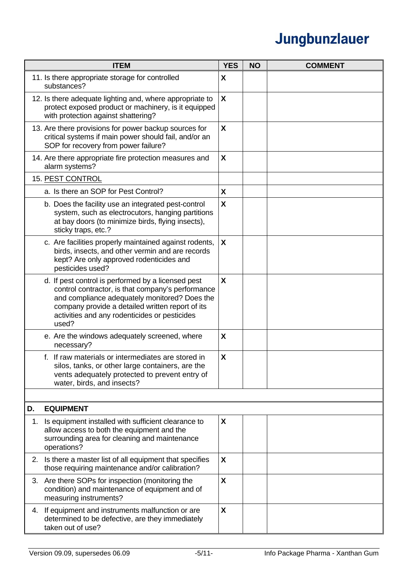| <b>ITEM</b>                                                                                                                                                                                                                                                            | <b>YES</b>                | <b>NO</b> | <b>COMMENT</b> |
|------------------------------------------------------------------------------------------------------------------------------------------------------------------------------------------------------------------------------------------------------------------------|---------------------------|-----------|----------------|
| 11. Is there appropriate storage for controlled<br>substances?                                                                                                                                                                                                         | X                         |           |                |
| 12. Is there adequate lighting and, where appropriate to<br>protect exposed product or machinery, is it equipped<br>with protection against shattering?                                                                                                                | $\mathsf{X}$              |           |                |
| 13. Are there provisions for power backup sources for<br>critical systems if main power should fail, and/or an<br>SOP for recovery from power failure?                                                                                                                 | X                         |           |                |
| 14. Are there appropriate fire protection measures and<br>alarm systems?                                                                                                                                                                                               | X                         |           |                |
| 15. PEST CONTROL                                                                                                                                                                                                                                                       |                           |           |                |
| a. Is there an SOP for Pest Control?                                                                                                                                                                                                                                   | X                         |           |                |
| b. Does the facility use an integrated pest-control<br>system, such as electrocutors, hanging partitions<br>at bay doors (to minimize birds, flying insects),<br>sticky traps, etc.?                                                                                   | X                         |           |                |
| c. Are facilities properly maintained against rodents,<br>birds, insects, and other vermin and are records<br>kept? Are only approved rodenticides and<br>pesticides used?                                                                                             | $\boldsymbol{\mathsf{X}}$ |           |                |
| d. If pest control is performed by a licensed pest<br>control contractor, is that company's performance<br>and compliance adequately monitored? Does the<br>company provide a detailed written report of its<br>activities and any rodenticides or pesticides<br>used? | X                         |           |                |
| e. Are the windows adequately screened, where<br>necessary?                                                                                                                                                                                                            | X                         |           |                |
| f. If raw materials or intermediates are stored in<br>silos, tanks, or other large containers, are the<br>vents adequately protected to prevent entry of<br>water, birds, and insects?                                                                                 | X                         |           |                |
|                                                                                                                                                                                                                                                                        |                           |           |                |
| D.<br><b>EQUIPMENT</b>                                                                                                                                                                                                                                                 |                           |           |                |
| Is equipment installed with sufficient clearance to<br>1.<br>allow access to both the equipment and the<br>surrounding area for cleaning and maintenance<br>operations?                                                                                                | X                         |           |                |
| Is there a master list of all equipment that specifies<br>2.<br>those requiring maintenance and/or calibration?                                                                                                                                                        | X                         |           |                |
| 3. Are there SOPs for inspection (monitoring the<br>condition) and maintenance of equipment and of<br>measuring instruments?                                                                                                                                           | X                         |           |                |
| If equipment and instruments malfunction or are<br>4.<br>determined to be defective, are they immediately<br>taken out of use?                                                                                                                                         | X                         |           |                |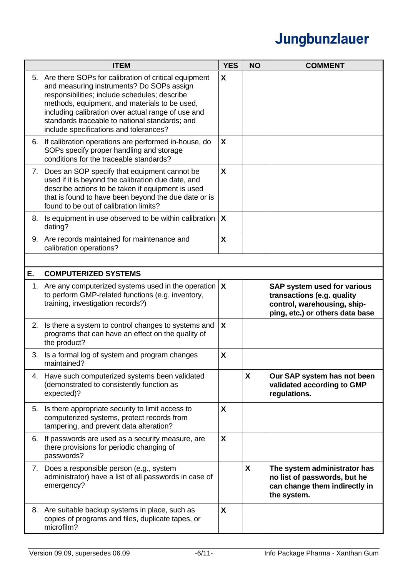|    | <b>ITEM</b>                                                                                                                                                                                                                                                                                                                                              | <b>YES</b>   | <b>NO</b>    | <b>COMMENT</b>                                                                                                              |
|----|----------------------------------------------------------------------------------------------------------------------------------------------------------------------------------------------------------------------------------------------------------------------------------------------------------------------------------------------------------|--------------|--------------|-----------------------------------------------------------------------------------------------------------------------------|
|    | 5. Are there SOPs for calibration of critical equipment<br>and measuring instruments? Do SOPs assign<br>responsibilities; include schedules; describe<br>methods, equipment, and materials to be used,<br>including calibration over actual range of use and<br>standards traceable to national standards; and<br>include specifications and tolerances? | X            |              |                                                                                                                             |
| 6. | If calibration operations are performed in-house, do<br>SOPs specify proper handling and storage<br>conditions for the traceable standards?                                                                                                                                                                                                              | X            |              |                                                                                                                             |
|    | 7. Does an SOP specify that equipment cannot be<br>used if it is beyond the calibration due date, and<br>describe actions to be taken if equipment is used<br>that is found to have been beyond the due date or is<br>found to be out of calibration limits?                                                                                             | X            |              |                                                                                                                             |
| 8. | Is equipment in use observed to be within calibration<br>dating?                                                                                                                                                                                                                                                                                         | $\mathsf{X}$ |              |                                                                                                                             |
| 9. | Are records maintained for maintenance and<br>calibration operations?                                                                                                                                                                                                                                                                                    | X            |              |                                                                                                                             |
|    |                                                                                                                                                                                                                                                                                                                                                          |              |              |                                                                                                                             |
| Е. | <b>COMPUTERIZED SYSTEMS</b>                                                                                                                                                                                                                                                                                                                              |              |              |                                                                                                                             |
| 1. | Are any computerized systems used in the operation $\mathbf X$<br>to perform GMP-related functions (e.g. inventory,<br>training, investigation records?)                                                                                                                                                                                                 |              |              | SAP system used for various<br>transactions (e.g. quality<br>control, warehousing, ship-<br>ping, etc.) or others data base |
| 2. | Is there a system to control changes to systems and<br>programs that can have an effect on the quality of<br>the product?                                                                                                                                                                                                                                | X            |              |                                                                                                                             |
| 3. | Is a formal log of system and program changes<br>maintained?                                                                                                                                                                                                                                                                                             | X            |              |                                                                                                                             |
|    | 4. Have such computerized systems been validated<br>(demonstrated to consistently function as<br>expected)?                                                                                                                                                                                                                                              |              | X            | Our SAP system has not been<br>validated according to GMP<br>regulations.                                                   |
|    | 5. Is there appropriate security to limit access to<br>computerized systems, protect records from<br>tampering, and prevent data alteration?                                                                                                                                                                                                             | X            |              |                                                                                                                             |
| 6. | If passwords are used as a security measure, are<br>there provisions for periodic changing of<br>passwords?                                                                                                                                                                                                                                              | X            |              |                                                                                                                             |
|    | 7. Does a responsible person (e.g., system<br>administrator) have a list of all passwords in case of<br>emergency?                                                                                                                                                                                                                                       |              | $\mathsf{X}$ | The system administrator has<br>no list of passwords, but he<br>can change them indirectly in<br>the system.                |
|    | 8. Are suitable backup systems in place, such as<br>copies of programs and files, duplicate tapes, or<br>microfilm?                                                                                                                                                                                                                                      | X            |              |                                                                                                                             |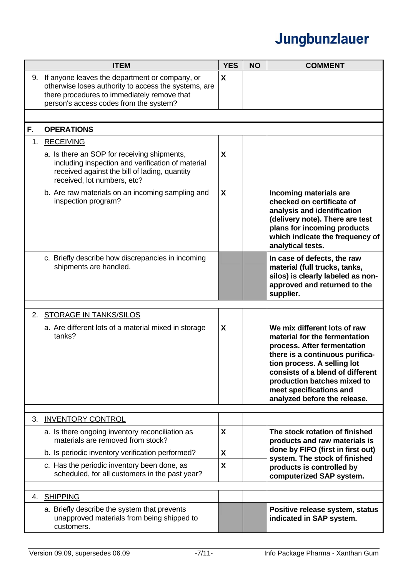|    | <b>ITEM</b>                                                                                                                                                                                     | <b>YES</b> | <b>NO</b> | <b>COMMENT</b>                                                                                                                                                                                                                                                                               |
|----|-------------------------------------------------------------------------------------------------------------------------------------------------------------------------------------------------|------------|-----------|----------------------------------------------------------------------------------------------------------------------------------------------------------------------------------------------------------------------------------------------------------------------------------------------|
| 9. | If anyone leaves the department or company, or<br>otherwise loses authority to access the systems, are<br>there procedures to immediately remove that<br>person's access codes from the system? | X          |           |                                                                                                                                                                                                                                                                                              |
|    |                                                                                                                                                                                                 |            |           |                                                                                                                                                                                                                                                                                              |
| F. | <b>OPERATIONS</b>                                                                                                                                                                               |            |           |                                                                                                                                                                                                                                                                                              |
| 1. | <b>RECEIVING</b>                                                                                                                                                                                |            |           |                                                                                                                                                                                                                                                                                              |
|    | a. Is there an SOP for receiving shipments,<br>including inspection and verification of material<br>received against the bill of lading, quantity<br>received, lot numbers, etc?                | X          |           |                                                                                                                                                                                                                                                                                              |
|    | b. Are raw materials on an incoming sampling and<br>inspection program?                                                                                                                         | X          |           | Incoming materials are<br>checked on certificate of<br>analysis and identification<br>(delivery note). There are test<br>plans for incoming products<br>which indicate the frequency of<br>analytical tests.                                                                                 |
|    | c. Briefly describe how discrepancies in incoming<br>shipments are handled.                                                                                                                     |            |           | In case of defects, the raw<br>material (full trucks, tanks,<br>silos) is clearly labeled as non-<br>approved and returned to the<br>supplier.                                                                                                                                               |
|    |                                                                                                                                                                                                 |            |           |                                                                                                                                                                                                                                                                                              |
| 2. | <b>STORAGE IN TANKS/SILOS</b>                                                                                                                                                                   |            |           |                                                                                                                                                                                                                                                                                              |
|    | a. Are different lots of a material mixed in storage<br>tanks?                                                                                                                                  | X          |           | We mix different lots of raw<br>material for the fermentation<br>process. After fermentation<br>there is a continuous purifica-<br>tion process. A selling lot<br>consists of a blend of different<br>production batches mixed to<br>meet specifications and<br>analyzed before the release. |
| 3. | <b>INVENTORY CONTROL</b>                                                                                                                                                                        |            |           |                                                                                                                                                                                                                                                                                              |
|    | a. Is there ongoing inventory reconciliation as<br>materials are removed from stock?                                                                                                            | X          |           | The stock rotation of finished<br>products and raw materials is                                                                                                                                                                                                                              |
|    | b. Is periodic inventory verification performed?                                                                                                                                                | X          |           | done by FIFO (first in first out)                                                                                                                                                                                                                                                            |
|    | c. Has the periodic inventory been done, as<br>scheduled, for all customers in the past year?                                                                                                   | X          |           | system. The stock of finished<br>products is controlled by<br>computerized SAP system.                                                                                                                                                                                                       |
|    |                                                                                                                                                                                                 |            |           |                                                                                                                                                                                                                                                                                              |
|    | 4. SHIPPING                                                                                                                                                                                     |            |           |                                                                                                                                                                                                                                                                                              |
|    | a. Briefly describe the system that prevents<br>unapproved materials from being shipped to<br>customers.                                                                                        |            |           | Positive release system, status<br>indicated in SAP system.                                                                                                                                                                                                                                  |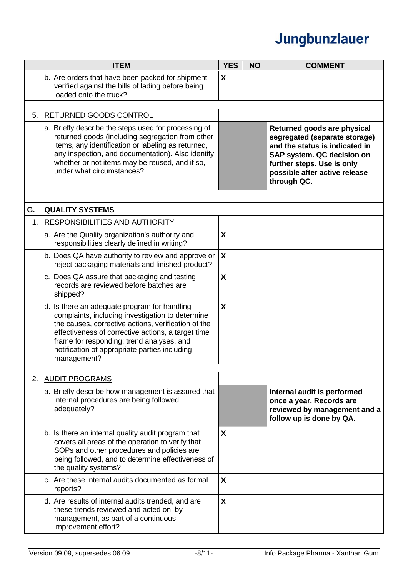|    | <b>ITEM</b>                                                                                                                                                                                                                                                                                                                | <b>YES</b>   | <b>NO</b> | <b>COMMENT</b>                                                                                                                                                                                             |
|----|----------------------------------------------------------------------------------------------------------------------------------------------------------------------------------------------------------------------------------------------------------------------------------------------------------------------------|--------------|-----------|------------------------------------------------------------------------------------------------------------------------------------------------------------------------------------------------------------|
|    | b. Are orders that have been packed for shipment<br>verified against the bills of lading before being<br>loaded onto the truck?                                                                                                                                                                                            | X            |           |                                                                                                                                                                                                            |
| 5. | RETURNED GOODS CONTROL                                                                                                                                                                                                                                                                                                     |              |           |                                                                                                                                                                                                            |
|    | a. Briefly describe the steps used for processing of<br>returned goods (including segregation from other<br>items, any identification or labeling as returned,<br>any inspection, and documentation). Also identify<br>whether or not items may be reused, and if so,<br>under what circumstances?                         |              |           | Returned goods are physical<br>segregated (separate storage)<br>and the status is indicated in<br>SAP system. QC decision on<br>further steps. Use is only<br>possible after active release<br>through QC. |
|    |                                                                                                                                                                                                                                                                                                                            |              |           |                                                                                                                                                                                                            |
| G. | <b>QUALITY SYSTEMS</b>                                                                                                                                                                                                                                                                                                     |              |           |                                                                                                                                                                                                            |
| 1. | <b>RESPONSIBILITIES AND AUTHORITY</b>                                                                                                                                                                                                                                                                                      |              |           |                                                                                                                                                                                                            |
|    | a. Are the Quality organization's authority and<br>responsibilities clearly defined in writing?                                                                                                                                                                                                                            | X            |           |                                                                                                                                                                                                            |
|    | b. Does QA have authority to review and approve or<br>reject packaging materials and finished product?                                                                                                                                                                                                                     | X            |           |                                                                                                                                                                                                            |
|    | c. Does QA assure that packaging and testing<br>records are reviewed before batches are<br>shipped?                                                                                                                                                                                                                        | X            |           |                                                                                                                                                                                                            |
|    | d. Is there an adequate program for handling<br>complaints, including investigation to determine<br>the causes, corrective actions, verification of the<br>effectiveness of corrective actions, a target time<br>frame for responding; trend analyses, and<br>notification of appropriate parties including<br>management? | X            |           |                                                                                                                                                                                                            |
|    |                                                                                                                                                                                                                                                                                                                            |              |           |                                                                                                                                                                                                            |
|    | 2. AUDIT PROGRAMS                                                                                                                                                                                                                                                                                                          |              |           |                                                                                                                                                                                                            |
|    | a. Briefly describe how management is assured that<br>internal procedures are being followed<br>adequately?                                                                                                                                                                                                                |              |           | Internal audit is performed<br>once a year. Records are<br>reviewed by management and a<br>follow up is done by QA.                                                                                        |
|    | b. Is there an internal quality audit program that<br>covers all areas of the operation to verify that<br>SOPs and other procedures and policies are<br>being followed, and to determine effectiveness of<br>the quality systems?                                                                                          | X            |           |                                                                                                                                                                                                            |
|    | c. Are these internal audits documented as formal<br>reports?                                                                                                                                                                                                                                                              | X            |           |                                                                                                                                                                                                            |
|    | d. Are results of internal audits trended, and are<br>these trends reviewed and acted on, by<br>management, as part of a continuous<br>improvement effort?                                                                                                                                                                 | $\mathsf{x}$ |           |                                                                                                                                                                                                            |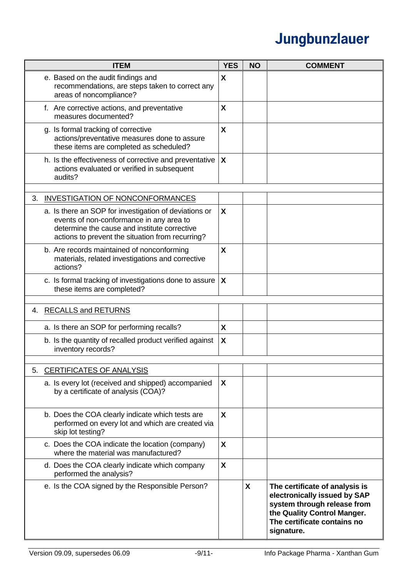|    | <b>ITEM</b>                                                                                                                                                                                           | <b>YES</b>   | <b>NO</b> | <b>COMMENT</b>                                                                                                                                                            |
|----|-------------------------------------------------------------------------------------------------------------------------------------------------------------------------------------------------------|--------------|-----------|---------------------------------------------------------------------------------------------------------------------------------------------------------------------------|
|    | e. Based on the audit findings and<br>recommendations, are steps taken to correct any<br>areas of noncompliance?                                                                                      | X            |           |                                                                                                                                                                           |
|    | f. Are corrective actions, and preventative<br>measures documented?                                                                                                                                   | X            |           |                                                                                                                                                                           |
|    | g. Is formal tracking of corrective<br>actions/preventative measures done to assure<br>these items are completed as scheduled?                                                                        | X            |           |                                                                                                                                                                           |
|    | h. Is the effectiveness of corrective and preventative<br>actions evaluated or verified in subsequent<br>audits?                                                                                      | X            |           |                                                                                                                                                                           |
| 3. | <b>INVESTIGATION OF NONCONFORMANCES</b>                                                                                                                                                               |              |           |                                                                                                                                                                           |
|    | a. Is there an SOP for investigation of deviations or<br>events of non-conformance in any area to<br>determine the cause and institute corrective<br>actions to prevent the situation from recurring? | X            |           |                                                                                                                                                                           |
|    | b. Are records maintained of nonconforming<br>materials, related investigations and corrective<br>actions?                                                                                            | X            |           |                                                                                                                                                                           |
|    | c. Is formal tracking of investigations done to assure<br>these items are completed?                                                                                                                  | X            |           |                                                                                                                                                                           |
|    | 4. RECALLS and RETURNS                                                                                                                                                                                |              |           |                                                                                                                                                                           |
|    | a. Is there an SOP for performing recalls?                                                                                                                                                            | X            |           |                                                                                                                                                                           |
|    | b. Is the quantity of recalled product verified against<br>inventory records?                                                                                                                         | X            |           |                                                                                                                                                                           |
| 5. | <b>CERTIFICATES OF ANALYSIS</b>                                                                                                                                                                       |              |           |                                                                                                                                                                           |
|    | a. Is every lot (received and shipped) accompanied<br>by a certificate of analysis (COA)?                                                                                                             | X            |           |                                                                                                                                                                           |
|    | b. Does the COA clearly indicate which tests are<br>performed on every lot and which are created via<br>skip lot testing?                                                                             | $\mathsf{X}$ |           |                                                                                                                                                                           |
|    | c. Does the COA indicate the location (company)<br>where the material was manufactured?                                                                                                               | X            |           |                                                                                                                                                                           |
|    | d. Does the COA clearly indicate which company<br>performed the analysis?                                                                                                                             | X            |           |                                                                                                                                                                           |
|    | e. Is the COA signed by the Responsible Person?                                                                                                                                                       |              | X         | The certificate of analysis is<br>electronically issued by SAP<br>system through release from<br>the Quality Control Manger.<br>The certificate contains no<br>signature. |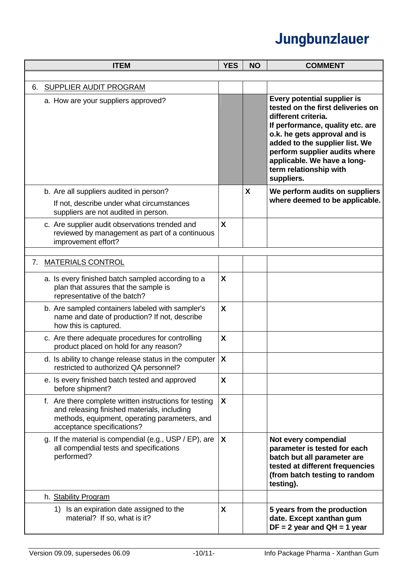|    | <b>ITEM</b>                                                                                                                                                                          | <b>YES</b>                | <b>NO</b> | <b>COMMENT</b>                                                                                                                                                                                                                                                                                        |
|----|--------------------------------------------------------------------------------------------------------------------------------------------------------------------------------------|---------------------------|-----------|-------------------------------------------------------------------------------------------------------------------------------------------------------------------------------------------------------------------------------------------------------------------------------------------------------|
|    |                                                                                                                                                                                      |                           |           |                                                                                                                                                                                                                                                                                                       |
| 6. | <b>SUPPLIER AUDIT PROGRAM</b>                                                                                                                                                        |                           |           |                                                                                                                                                                                                                                                                                                       |
|    | a. How are your suppliers approved?                                                                                                                                                  |                           |           | Every potential supplier is<br>tested on the first deliveries on<br>different criteria.<br>If performance, quality etc. are<br>o.k. he gets approval and is<br>added to the supplier list. We<br>perform supplier audits where<br>applicable. We have a long-<br>term relationship with<br>suppliers. |
|    | b. Are all suppliers audited in person?                                                                                                                                              |                           | X         | We perform audits on suppliers                                                                                                                                                                                                                                                                        |
|    | If not, describe under what circumstances<br>suppliers are not audited in person.                                                                                                    |                           |           | where deemed to be applicable.                                                                                                                                                                                                                                                                        |
|    | c. Are supplier audit observations trended and<br>reviewed by management as part of a continuous<br>improvement effort?                                                              | X                         |           |                                                                                                                                                                                                                                                                                                       |
|    | 7. MATERIALS CONTROL                                                                                                                                                                 |                           |           |                                                                                                                                                                                                                                                                                                       |
|    | a. Is every finished batch sampled according to a<br>plan that assures that the sample is<br>representative of the batch?                                                            | X                         |           |                                                                                                                                                                                                                                                                                                       |
|    | b. Are sampled containers labeled with sampler's<br>name and date of production? If not, describe<br>how this is captured.                                                           | X                         |           |                                                                                                                                                                                                                                                                                                       |
|    | c. Are there adequate procedures for controlling<br>product placed on hold for any reason?                                                                                           | X                         |           |                                                                                                                                                                                                                                                                                                       |
|    | d. Is ability to change release status in the computer<br>restricted to authorized QA personnel?                                                                                     | $\boldsymbol{\mathsf{X}}$ |           |                                                                                                                                                                                                                                                                                                       |
|    | e. Is every finished batch tested and approved<br>before shipment?                                                                                                                   | X                         |           |                                                                                                                                                                                                                                                                                                       |
|    | f. Are there complete written instructions for testing<br>and releasing finished materials, including<br>methods, equipment, operating parameters, and<br>acceptance specifications? | $\mathsf{X}$              |           |                                                                                                                                                                                                                                                                                                       |
|    | g. If the material is compendial (e.g., USP / EP), are<br>all compendial tests and specifications<br>performed?                                                                      | X                         |           | Not every compendial<br>parameter is tested for each<br>batch but all parameter are<br>tested at different frequencies<br>(from batch testing to random<br>testing).                                                                                                                                  |
|    | h. Stability Program                                                                                                                                                                 |                           |           |                                                                                                                                                                                                                                                                                                       |
|    | 1) Is an expiration date assigned to the<br>material? If so, what is it?                                                                                                             | X                         |           | 5 years from the production<br>date. Except xanthan gum<br>$DF = 2$ year and $QH = 1$ year                                                                                                                                                                                                            |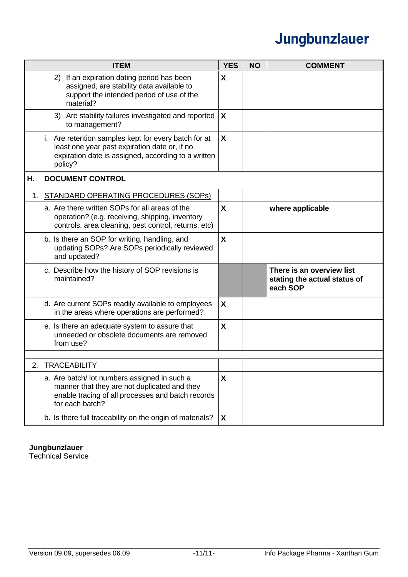|    | <b>ITEM</b>                                                                                                                                                             | <b>YES</b> | <b>NO</b> | <b>COMMENT</b>                                                        |
|----|-------------------------------------------------------------------------------------------------------------------------------------------------------------------------|------------|-----------|-----------------------------------------------------------------------|
|    | 2) If an expiration dating period has been<br>assigned, are stability data available to<br>support the intended period of use of the<br>material?                       | X          |           |                                                                       |
|    | 3) Are stability failures investigated and reported<br>to management?                                                                                                   | X          |           |                                                                       |
|    | i. Are retention samples kept for every batch for at<br>least one year past expiration date or, if no<br>expiration date is assigned, according to a written<br>policy? | X          |           |                                                                       |
| Η. | <b>DOCUMENT CONTROL</b>                                                                                                                                                 |            |           |                                                                       |
| 1. | STANDARD OPERATING PROCEDURES (SOPS)                                                                                                                                    |            |           |                                                                       |
|    | a. Are there written SOPs for all areas of the<br>operation? (e.g. receiving, shipping, inventory<br>controls, area cleaning, pest control, returns, etc)               | X          |           | where applicable                                                      |
|    | b. Is there an SOP for writing, handling, and<br>updating SOPs? Are SOPs periodically reviewed<br>and updated?                                                          | X          |           |                                                                       |
|    | c. Describe how the history of SOP revisions is<br>maintained?                                                                                                          |            |           | There is an overview list<br>stating the actual status of<br>each SOP |
|    | d. Are current SOPs readily available to employees<br>in the areas where operations are performed?                                                                      | X          |           |                                                                       |
|    | e. Is there an adequate system to assure that<br>unneeded or obsolete documents are removed<br>from use?                                                                | X          |           |                                                                       |
| າ  | <b>TRACEABILITY</b>                                                                                                                                                     |            |           |                                                                       |
|    | a. Are batch/ lot numbers assigned in such a<br>manner that they are not duplicated and they<br>enable tracing of all processes and batch records<br>for each batch?    | X          |           |                                                                       |
|    | b. Is there full traceability on the origin of materials?                                                                                                               | X          |           |                                                                       |

#### **Jungbunzlauer**

Technical Service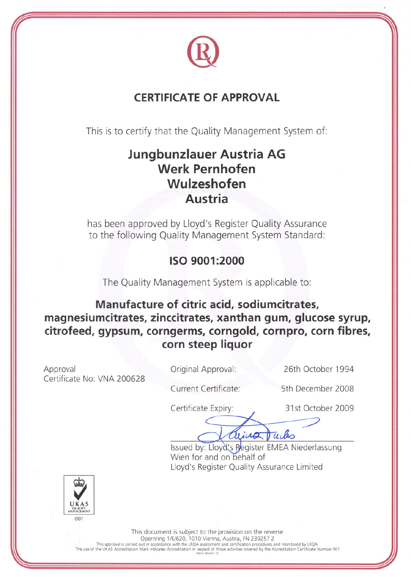

### **CERTIFICATE OF APPROVAL**

This is to certify that the Quality Management System of:

## **Jungbunzlauer Austria AG Werk Pernhofen** Wulzeshofen **Austria**

has been approved by Lloyd's Register Quality Assurance to the following Quality Management System Standard:

### ISO 9001:2000

The Quality Management System is applicable to:

Manufacture of citric acid, sodiumcitrates, magnesiumcitrates, zinccitrates, xanthan gum, glucose syrup, citrofeed, gypsum, corngerms, corngold, cornpro, corn fibres, corn steep liquor

Approval Certificate No: VNA 200628 Original Approval:

26th October 1994

Current Certificate:

5th December 2008

Certificate Expiry:

31st October 2009

Tuiks arius

Issued by: Lloyd's Register EMEA Niederlassung Wien for and on behalf of Lloyd's Register Quality Assurance Limited



This document is subject to the provision on the reverse<br>Opernring 1/E/620, 1010 Vienna, Austria, FN 239257 Z This approval is carried out in accordance with the LRQA assessment and certification procedures and monitored by LRQA.<br>The use of the UKAS Accreditation Mark indicates Accreditation in respect of those activities covered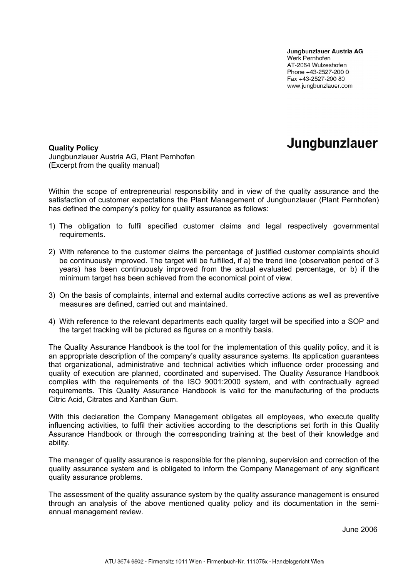Jungbunzlauer Austria AG Werk Pernhofen AT-2064 Wulzeshofen Phone +43-2527-200 0 Fax +43-2527-200 80 www.jungbunzlauer.com

Jungbunzlauer

#### **Quality Policy**

### Jungbunzlauer Austria AG, Plant Pernhofen (Excerpt from the quality manual)

Within the scope of entrepreneurial responsibility and in view of the quality assurance and the satisfaction of customer expectations the Plant Management of Jungbunzlauer (Plant Pernhofen) has defined the company's policy for quality assurance as follows:

- 1) The obligation to fulfil specified customer claims and legal respectively governmental requirements.
- 2) With reference to the customer claims the percentage of justified customer complaints should be continuously improved. The target will be fulfilled, if a) the trend line (observation period of 3 years) has been continuously improved from the actual evaluated percentage, or b) if the minimum target has been achieved from the economical point of view.
- 3) On the basis of complaints, internal and external audits corrective actions as well as preventive measures are defined, carried out and maintained.
- 4) With reference to the relevant departments each quality target will be specified into a SOP and the target tracking will be pictured as figures on a monthly basis.

The Quality Assurance Handbook is the tool for the implementation of this quality policy, and it is an appropriate description of the company's quality assurance systems. Its application guarantees that organizational, administrative and technical activities which influence order processing and quality of execution are planned, coordinated and supervised. The Quality Assurance Handbook complies with the requirements of the ISO 9001:2000 system, and with contractually agreed requirements. This Quality Assurance Handbook is valid for the manufacturing of the products Citric Acid, Citrates and Xanthan Gum.

With this declaration the Company Management obligates all employees, who execute quality influencing activities, to fulfil their activities according to the descriptions set forth in this Quality Assurance Handbook or through the corresponding training at the best of their knowledge and ability.

The manager of quality assurance is responsible for the planning, supervision and correction of the quality assurance system and is obligated to inform the Company Management of any significant quality assurance problems.

The assessment of the quality assurance system by the quality assurance management is ensured through an analysis of the above mentioned quality policy and its documentation in the semiannual management review.

June 2006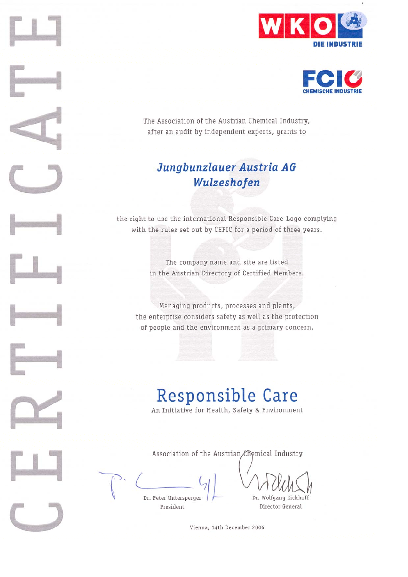



The Association of the Austrian Chemical Industry, after an audit by independent experts, grants to

### Jungbunzlauer Austria AG Wulzeshofen

the right to use the international Responsible Care-Logo complying with the rules set out by CEFIC for a period of three years.

> The company name and site are listed in the Austrian Directory of Certified Members.

Managing products, processes and plants, the enterprise considers safety as well as the protection of people and the environment as a primary concern.

# **Responsible Care**

An Initiative for Health, Safety & Environment

Association of the Austrian Ememical Industry

Dr. Peter Untersperger President

Dr. Wolfgang Eickhoff Director General

Vienna, 14th December 2006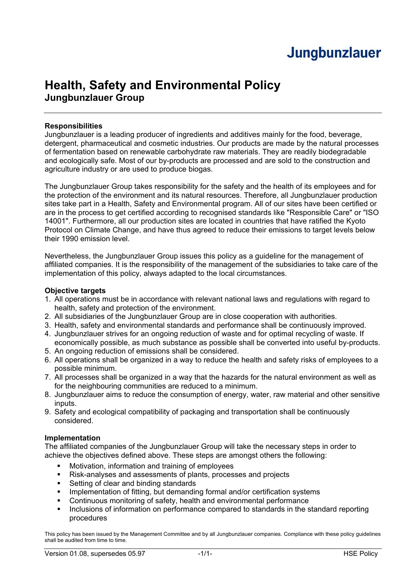## **Health, Safety and Environmental Policy Jungbunzlauer Group**

### **Responsibilities**

Jungbunzlauer is a leading producer of ingredients and additives mainly for the food, beverage, detergent, pharmaceutical and cosmetic industries. Our products are made by the natural processes of fermentation based on renewable carbohydrate raw materials. They are readily biodegradable and ecologically safe. Most of our by-products are processed and are sold to the construction and agriculture industry or are used to produce biogas.

The Jungbunzlauer Group takes responsibility for the safety and the health of its employees and for the protection of the environment and its natural resources. Therefore, all Jungbunzlauer production sites take part in a Health, Safety and Environmental program. All of our sites have been certified or are in the process to get certified according to recognised standards like "Responsible Care" or "ISO 14001". Furthermore, all our production sites are located in countries that have ratified the Kyoto Protocol on Climate Change, and have thus agreed to reduce their emissions to target levels below their 1990 emission level.

Nevertheless, the Jungbunzlauer Group issues this policy as a guideline for the management of affiliated companies. It is the responsibility of the management of the subsidiaries to take care of the implementation of this policy, always adapted to the local circumstances.

### **Objective targets**

- 1. All operations must be in accordance with relevant national laws and regulations with regard to health, safety and protection of the environment.
- 2. All subsidiaries of the Jungbunzlauer Group are in close cooperation with authorities.
- 3. Health, safety and environmental standards and performance shall be continuously improved.
- 4. Jungbunzlauer strives for an ongoing reduction of waste and for optimal recycling of waste. If economically possible, as much substance as possible shall be converted into useful by-products.
- 5. An ongoing reduction of emissions shall be considered.
- 6. All operations shall be organized in a way to reduce the health and safety risks of employees to a possible minimum.
- 7. All processes shall be organized in a way that the hazards for the natural environment as well as for the neighbouring communities are reduced to a minimum.
- 8. Jungbunzlauer aims to reduce the consumption of energy, water, raw material and other sensitive inputs.
- 9. Safety and ecological compatibility of packaging and transportation shall be continuously considered.

### **Implementation**

The affiliated companies of the Jungbunzlauer Group will take the necessary steps in order to achieve the objectives defined above. These steps are amongst others the following:

- **•** Motivation, information and training of employees
- Risk-analyses and assessments of plants, processes and projects
- **Setting of clear and binding standards**
- **IMPLEM** 11 Implementation of fitting, but demanding formal and/or certification systems
- Continuous monitoring of safety, health and environmental performance
- Inclusions of information on performance compared to standards in the standard reporting procedures

This policy has been issued by the Management Committee and by all Jungbunzlauer companies. Compliance with these policy guidelines shall be audited from time to time.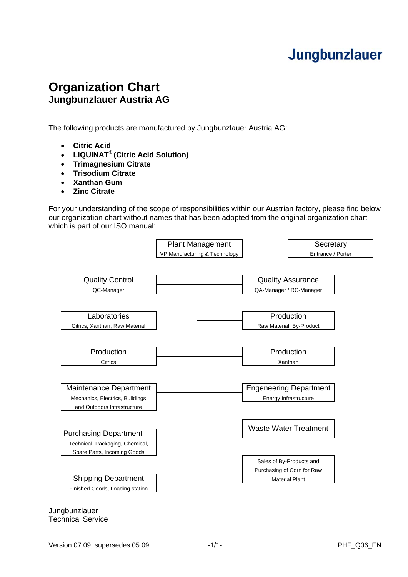### **Organization Chart Jungbunzlauer Austria AG**

The following products are manufactured by Jungbunzlauer Austria AG:

- **Citric Acid**
- **LIQUINAT® (Citric Acid Solution)**
- **Trimagnesium Citrate**
- **Trisodium Citrate**
- **Xanthan Gum**
- **Zinc Citrate**

For your understanding of the scope of responsibilities within our Austrian factory, please find below our organization chart without names that has been adopted from the original organization chart which is part of our ISO manual:



Jungbunzlauer Technical Service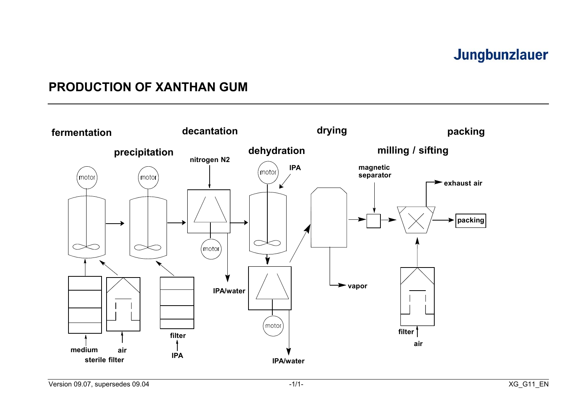### **PRODUCTION OF XANTHAN GUM**

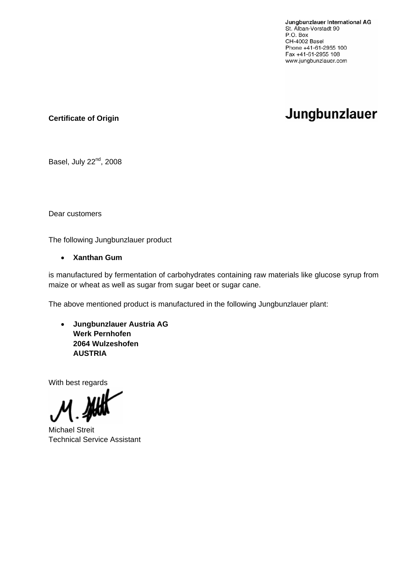Jungbunzlauer International AG St. Alban-Vorstadt 90 P.O. Box CH-4002 Basel Phone +41-61-2955 100 Fax +41-61-2955 108 www.jungbunzlauer.com

## Jungbunzlauer

**Certificate of Origin**

Basel, July 22<sup>nd</sup>, 2008

Dear customers

The following Jungbunzlauer product

### • **Xanthan Gum**

is manufactured by fermentation of carbohydrates containing raw materials like glucose syrup from maize or wheat as well as sugar from sugar beet or sugar cane.

The above mentioned product is manufactured in the following Jungbunzlauer plant:

• **Jungbunzlauer Austria AG Werk Pernhofen 2064 Wulzeshofen AUSTRIA**

With best regards

Michael Streit Technical Service Assistant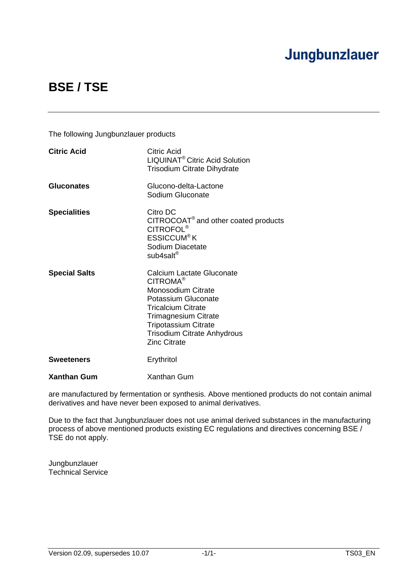## **BSE / TSE**

The following Jungbunzlauer products

| <b>Citric Acid</b>   | Citric Acid<br>LIQUINAT <sup>®</sup> Citric Acid Solution<br><b>Trisodium Citrate Dihydrate</b>                                                                                                                                                               |
|----------------------|---------------------------------------------------------------------------------------------------------------------------------------------------------------------------------------------------------------------------------------------------------------|
| <b>Gluconates</b>    | Glucono-delta-Lactone<br>Sodium Gluconate                                                                                                                                                                                                                     |
| <b>Specialities</b>  | Citro DC<br>$CITROCOAT®$ and other coated products<br><b>CITROFOL<sup>®</sup></b><br><b>ESSICCUM<sup>®</sup>K</b><br>Sodium Diacetate<br>sub4salt <sup>®</sup>                                                                                                |
| <b>Special Salts</b> | <b>Calcium Lactate Gluconate</b><br>CITROMA <sup>®</sup><br>Monosodium Citrate<br>Potassium Gluconate<br><b>Tricalcium Citrate</b><br><b>Trimagnesium Citrate</b><br><b>Tripotassium Citrate</b><br><b>Trisodium Citrate Anhydrous</b><br><b>Zinc Citrate</b> |
| <b>Sweeteners</b>    | Erythritol                                                                                                                                                                                                                                                    |
| <b>Xanthan Gum</b>   | Xanthan Gum                                                                                                                                                                                                                                                   |

are manufactured by fermentation or synthesis. Above mentioned products do not contain animal derivatives and have never been exposed to animal derivatives.

Due to the fact that Jungbunzlauer does not use animal derived substances in the manufacturing process of above mentioned products existing EC regulations and directives concerning BSE / TSE do not apply.

Jungbunzlauer Technical Service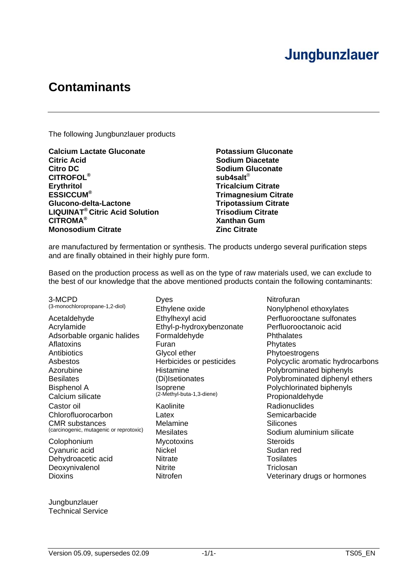## **Contaminants**

The following Jungbunzlauer products

**Calcium Lactate Gluconate Potassium Gluconate Citric Acid Sodium Diacetate Citro DC** Sodium Gluconate **CITROFOL® sub4salt**® Erythritol **Example 2018** Tricalcium Citrate **Tricalcium Citrate ESSICCUM<sup>®</sup> Glucono-delta-Lactone Tripotassium Citrate LIQUINAT® Citric Acid Solution Trisodium Citrate CITROMA® Xanthan Gum Monosodium Citrate Zinc Citrate Zinc Citrate** 

**Trimagnesium Citrate** 

are manufactured by fermentation or synthesis. The products undergo several purification steps and are finally obtained in their highly pure form.

Based on the production process as well as on the type of raw materials used, we can exclude to the best of our knowledge that the above mentioned products contain the following contaminants:

3-MCPD Dyes Dyes Nitrofuran Dyes Nitrofuran Dyes Nitrofuran Nitrofuran Dyes Nitrofuran Nitrofuran Dyes Nitrofuran Nitrofuran Nitrofuran Disease Nitrofuran Disease Nitrofuran Disease Nitrofuran Disease Nitrofuran Disease Ni Acetaldehyde **Ethylhexyl acid** Perfluorooctane sulfonates<br>Acrylamide **Ethyl-p-hydroxybenzonate** Perfluorooctanoic acid Acrylamide **Ethyl-p-hydroxybenzonate Performance** Adsorbable organic halides Formaldehyde **Formaldehyde** Phthalates Aflatoxins **Furan** Phytates **Phytates** Antibiotics **Antibiotics** Glycol ether **Phytoestrogens** Azorubine Histamine Histamine Polybrominated biphenyls Bisphenol A Isoprene Isoprene Polychlorinated biphenyls<br>Calcium cilicate (2-Methyl-buta-1,3-diene) Propionaldebude Calcium silicate  $(2-Methy)$ -buta-1,3-diene) Propionaldehyde Castor oil Kaolinite Radionuclides Chlorofluorocarbon Latex Latex Semicarbacide<br>
CMR substances Melamine Silicones CMR substances Melamine CMR substances Melamine Silicones<br>
Carcinogenic, mutagenic or reprotoxic) Mesilates Sodium and Sodium and Sodium and Sodium and Sodium and Sodium and Sodium and Sodium and Sodium and Sodium and Sodi Colophonium Mycotoxins Steroids Cyanuric acid **Nickel** Nickel Sudan red

Dehydroacetic acid **Nitrate** Nitrate **Nitrate Tosilates** Deoxynivalenol Nitrite Nitrite Triclosan

Ethylene oxide Nonylphenol ethoxylates Asbestos Herbicides or pesticides Polycyclic aromatic hydrocarbons Besilates (Di)Isetionates Polybrominated diphenyl ethers Sodium aluminium silicate Dioxins **Dioxins Nitrofen** Nitrofen Veterinary drugs or hormones

Jungbunzlauer Technical Service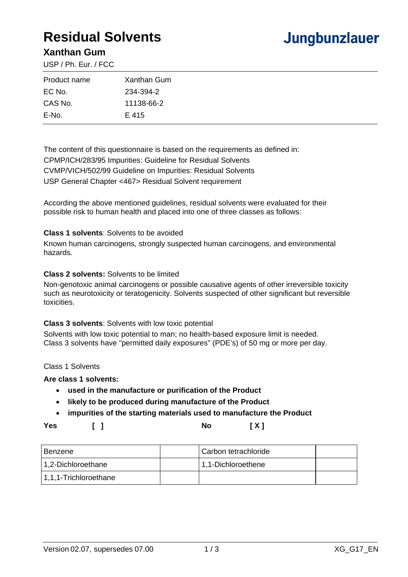## **Residual Solvents**

## Jungbunzlauer

### **Xanthan Gum**

USP / Ph. Eur. / FCC

| Product name | Xanthan Gum |
|--------------|-------------|
| EC No.       | 234-394-2   |
| CAS No.      | 11138-66-2  |
| E-No.        | E 415       |

The content of this questionnaire is based on the requirements as defined in: CPMP/ICH/283/95 Impurities: Guideline for Residual Solvents CVMP/VICH/502/99 Guideline on Impurities: Residual Solvents USP General Chapter <467> Residual Solvent requirement

According the above mentioned guidelines, residual solvents were evaluated for their possible risk to human health and placed into one of three classes as follows:

#### **Class 1 solvents**: Solvents to be avoided

Known human carcinogens, strongly suspected human carcinogens, and environmental hazards.

### **Class 2 solvents:** Solvents to be limited

Non-genotoxic animal carcinogens or possible causative agents of other irreversible toxicity such as neurotoxicity or teratogenicity. Solvents suspected of other significant but reversible toxicities.

#### **Class 3 solvents**: Solvents with low toxic potential

Solvents with low toxic potential to man; no health-based exposure limit is needed. Class 3 solvents have "permitted daily exposures" (PDE's) of 50 mg or more per day.

Class 1 Solvents

#### **Are class 1 solvents:**

- **used in the manufacture or purification of the Product**
- **likely to be produced during manufacture of the Product**
- **impurities of the starting materials used to manufacture the Product**

### **Yes [ ] No [ X ]**

| l Benzene             | Carbon tetrachloride |  |
|-----------------------|----------------------|--|
| 1,2-Dichloroethane    | 1,1-Dichloroethene   |  |
| 1,1,1-Trichloroethane |                      |  |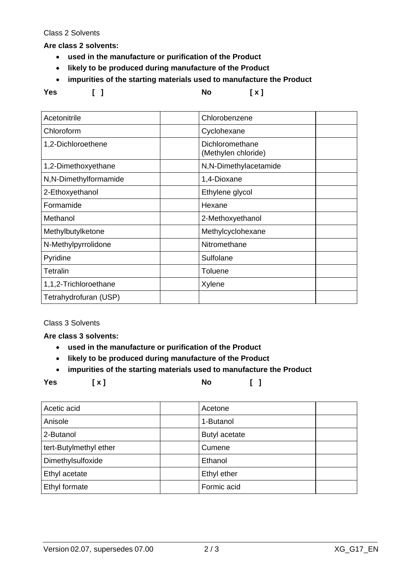Class 2 Solvents

**Are class 2 solvents:** 

- **used in the manufacture or purification of the Product**
- **likely to be produced during manufacture of the Product**
- **impurities of the starting materials used to manufacture the Product**

**Yes [ ] No [ x ]** 

| Acetonitrile          | Chlorobenzene                          |
|-----------------------|----------------------------------------|
| Chloroform            | Cyclohexane                            |
| 1,2-Dichloroethene    | Dichloromethane<br>(Methylen chloride) |
| 1,2-Dimethoxyethane   | N,N-Dimethylacetamide                  |
| N,N-Dimethylformamide | 1,4-Dioxane                            |
| 2-Ethoxyethanol       | Ethylene glycol                        |
| Formamide             | Hexane                                 |
| Methanol              | 2-Methoxyethanol                       |
| Methylbutylketone     | Methylcyclohexane                      |
| N-Methylpyrrolidone   | Nitromethane                           |
| Pyridine              | Sulfolane                              |
| Tetralin              | Toluene                                |
| 1,1,2-Trichloroethane | Xylene                                 |
| Tetrahydrofuran (USP) |                                        |

Class 3 Solvents

**Are class 3 solvents:** 

- **used in the manufacture or purification of the Product**
- **likely to be produced during manufacture of the Product**
- **impurities of the starting materials used to manufacture the Product**

**Yes [ x ] No [ ]** 

| Acetic acid            | Acetone       |  |
|------------------------|---------------|--|
| Anisole                | 1-Butanol     |  |
| 2-Butanol              | Butyl acetate |  |
| tert-Butylmethyl ether | Cumene        |  |
| Dimethylsulfoxide      | Ethanol       |  |
| Ethyl acetate          | Ethyl ether   |  |
| Ethyl formate          | Formic acid   |  |